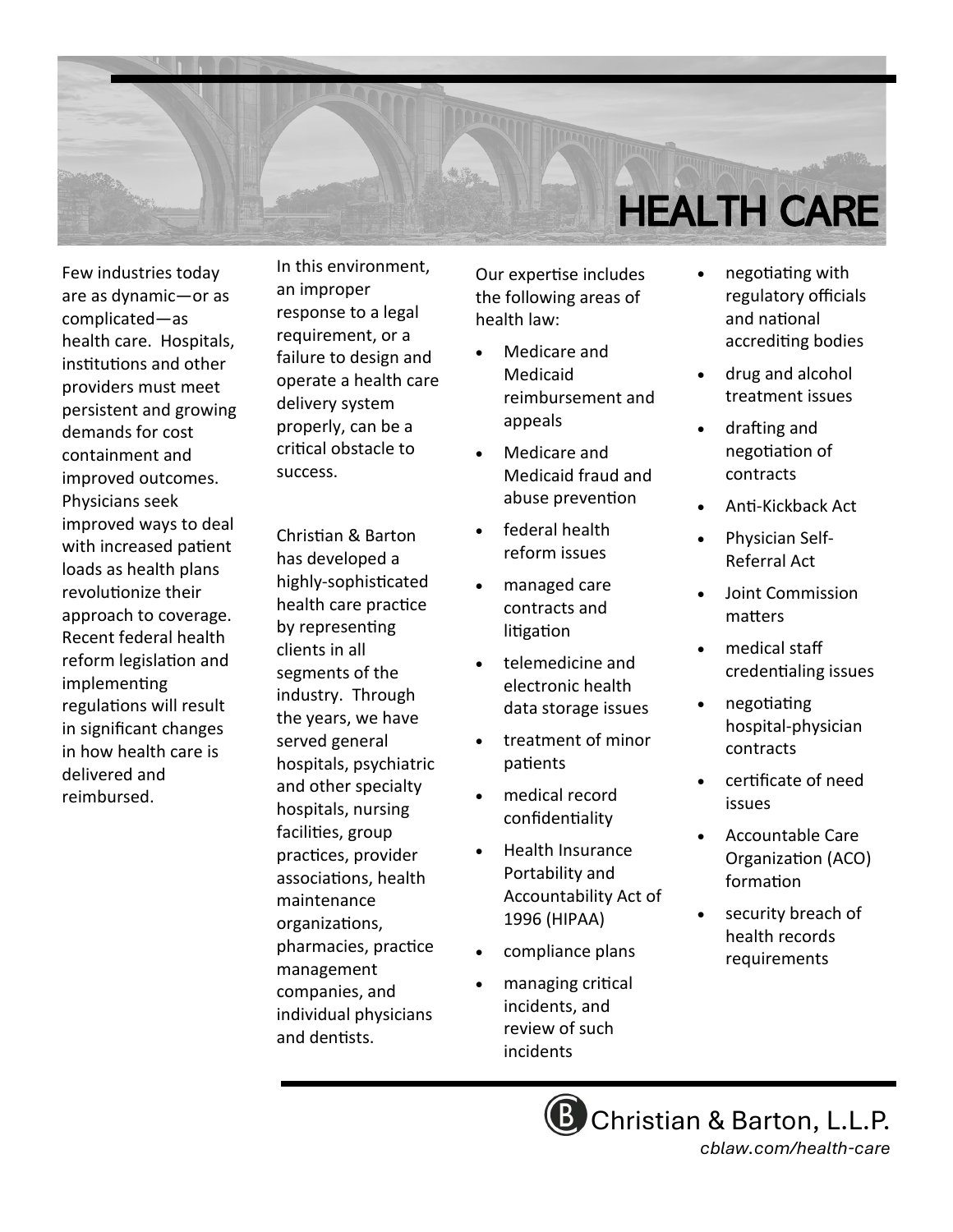

Few industries today are as dynamic—or as complicated—as health care. Hospitals, institutions and other providers must meet persistent and growing demands for cost containment and improved outcomes. Physicians seek improved ways to deal with increased patient loads as health plans revolutionize their approach to coverage. Recent federal health reform legislation and implementing regulations will result in significant changes in how health care is delivered and reimbursed.

In this environment, an improper response to a legal requirement, or a failure to design and operate a health care delivery system properly, can be a critical obstacle to success.

Christian & Barton has developed a highly-sophisticated health care practice by representing clients in all segments of the industry. Through the years, we have served general hospitals, psychiatric and other specialty hospitals, nursing facilities, group practices, provider associations, health maintenance organizations, pharmacies, practice management companies, and individual physicians and dentists.

Our expertise includes the following areas of health law:

- Medicare and Medicaid reimbursement and appeals
- Medicare and Medicaid fraud and abuse prevention
- federal health reform issues
- managed care contracts and litigation
- telemedicine and electronic health data storage issues
- treatment of minor patients
- medical record confidentiality
- Health Insurance Portability and Accountability Act of 1996 (HIPAA)
- compliance plans
- managing critical incidents, and review of such incidents
- negotiating with regulatory officials and national accrediting bodies
- drug and alcohol treatment issues
- drafting and negotiation of contracts
- Anti-Kickback Act
- Physician Self-Referral Act
- Joint Commission matters
- medical staff credentialing issues
- negotiating hospital-physician contracts
- certificate of need issues
- Accountable Care Organization (ACO) formation
- security breach of health records requirements